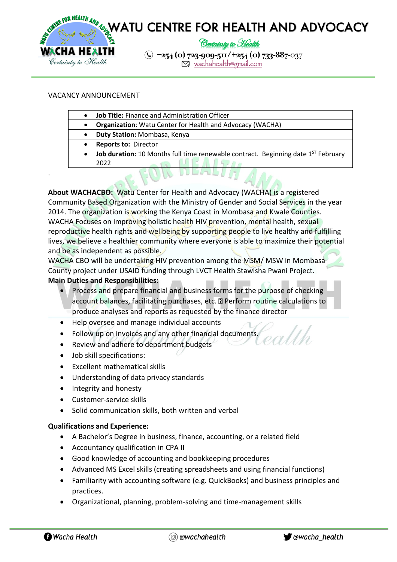

## VACANCY ANNOUNCEMENT

.

- **Job Title:** Finance and Administration Officer
	- **Organization**: Watu Center for Health and Advocacy (WACHA)
- **Duty Station:** Mombasa, Kenya
- **Reports to:** Director
- **Job duration:** 10 Months full time renewable contract. Beginning date 1<sup>st</sup> February 2022

**About WACHACBO:** Watu Center for Health and Advocacy (WACHA) is a registered Community Based Organization with the Ministry of Gender and Social Services in the year 2014. The organization is working the Kenya Coast in Mombasa and Kwale Counties. WACHA Focuses on improving holistic health HIV prevention, mental health, sexual reproductive health rights and wellbeing by supporting people to live healthy and fulfilling lives, we believe a healthier community where everyone is able to maximize their potential and be as independent as possible.

WACHA CBO will be undertaking HIV prevention among the MSM/MSW in Mombasa County project under USAID funding through LVCT Health Stawisha Pwani Project. **Main Duties and Responsibilities:**

- Process and prepare financial and business forms for the purpose of checking account balances, facilitating purchases, etc. Perform routine calculations to produce analyses and reports as requested by the finance director
- Help oversee and manage individual accounts
- Follow up on invoices and any other financial documents.
- Review and adhere to department budgets
- Job skill specifications:
- Excellent mathematical skills
- Understanding of data privacy standards
- Integrity and honesty
- Customer-service skills
- Solid communication skills, both written and verbal

## **Qualifications and Experience:**

- A Bachelor's Degree in business, finance, accounting, or a related field
- Accountancy qualification in CPA II
- Good knowledge of accounting and bookkeeping procedures
- Advanced MS Excel skills (creating spreadsheets and using financial functions)
- Familiarity with accounting software (e.g. QuickBooks) and business principles and practices.
- Organizational, planning, problem-solving and time-management skills